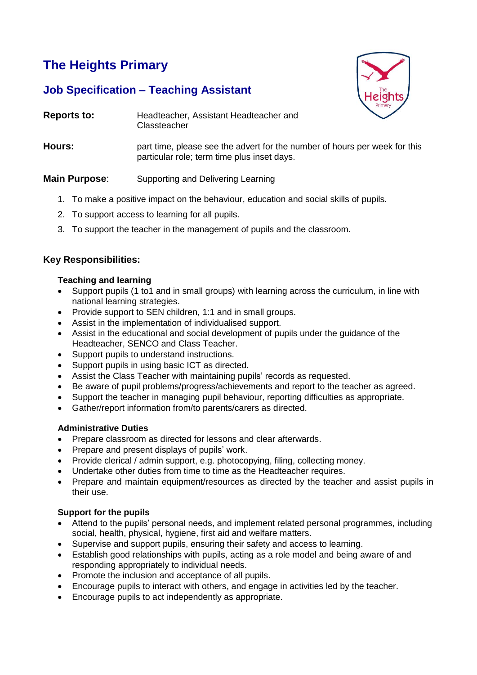# **The Heights Primary**

# **Job Specification – Teaching Assistant**



- **Reports to:** Headteacher, Assistant Headteacher and **Classteacher**
- **Hours:** part time, please see the advert for the number of hours per week for this particular role; term time plus inset days.

# **Main Purpose:** Supporting and Delivering Learning

- 1. To make a positive impact on the behaviour, education and social skills of pupils.
- 2. To support access to learning for all pupils.
- 3. To support the teacher in the management of pupils and the classroom.

## **Key Responsibilities:**

#### **Teaching and learning**

- Support pupils (1 to1 and in small groups) with learning across the curriculum, in line with national learning strategies.
- Provide support to SEN children, 1:1 and in small groups.
- Assist in the implementation of individualised support.
- Assist in the educational and social development of pupils under the guidance of the Headteacher, SENCO and Class Teacher.
- Support pupils to understand instructions.
- Support pupils in using basic ICT as directed.
- Assist the Class Teacher with maintaining pupils' records as requested.
- Be aware of pupil problems/progress/achievements and report to the teacher as agreed.
- Support the teacher in managing pupil behaviour, reporting difficulties as appropriate.
- Gather/report information from/to parents/carers as directed.

### **Administrative Duties**

- Prepare classroom as directed for lessons and clear afterwards.
- Prepare and present displays of pupils' work.
- Provide clerical / admin support, e.g. photocopying, filing, collecting money.
- Undertake other duties from time to time as the Headteacher requires.
- Prepare and maintain equipment/resources as directed by the teacher and assist pupils in their use.

### **Support for the pupils**

- Attend to the pupils' personal needs, and implement related personal programmes, including social, health, physical, hygiene, first aid and welfare matters.
- Supervise and support pupils, ensuring their safety and access to learning.
- Establish good relationships with pupils, acting as a role model and being aware of and responding appropriately to individual needs.
- Promote the inclusion and acceptance of all pupils.
- Encourage pupils to interact with others, and engage in activities led by the teacher.
- Encourage pupils to act independently as appropriate.